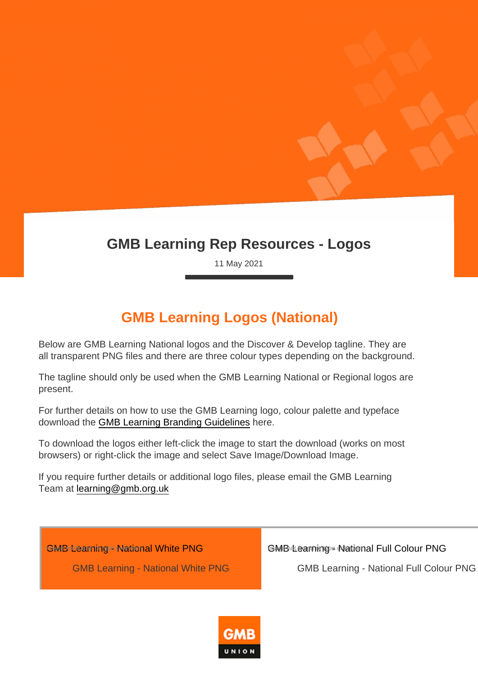## GMB Learning Rep Resources - Logos

11 May 2021

## GMB Learning Logos (National)

Below are GMB Learning National logos and the Discover & Develop tagline. They are all transparent PNG files and there are three colour types depending on the background.

The tagline should only be used when the GMB Learning National or Regional logos are present.

For further details on how to use the GMB Learning logo, colour palette and typeface download the [GMB Learning Branding Guidelines](https://www.gmb.org.uk/sites/default/files/Branding Guide.pdf) here.

To download the logos either left-click the image to start the download (works on most browsers) or right-click the image and select Save Image/Download Image.

If you require further details or additional logo files, please email the GMB Learning Team at [learning@gmb.org.uk](mailto:learning@gmb.org.uk?subject=GMB Learning Branding)

[GMB Learning - National White PNG](https://www.gmb.org.uk/sites/default/files/GMBLearning2021_White National_0.png)

GMB Learning - National White PNG

[GMB Learning - National Full Colour PNG](https://www.gmb.org.uk/sites/default/files/GMBLearning2021_Full Colour National_0.png)

GMB Learning - National Full Colour PNG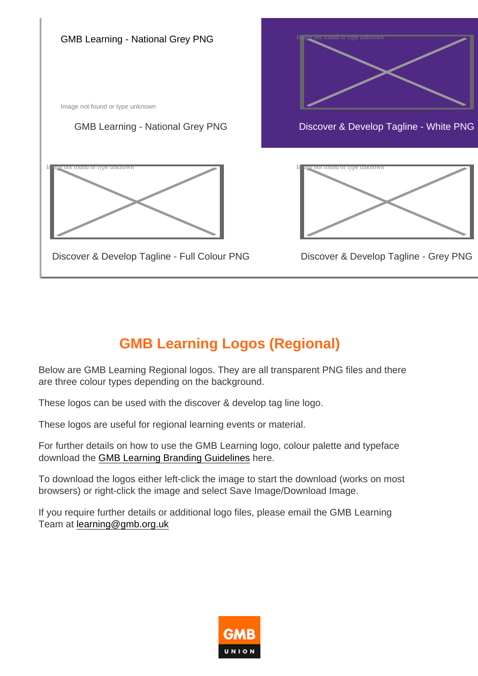

## GMB Learning Logos (Regional)

Below are GMB Learning Regional logos. They are all transparent PNG files and there are three colour types depending on the background.

These logos can be used with the discover & develop tag line logo.

These logos are useful for regional learning events or material.

For further details on how to use the GMB Learning logo, colour palette and typeface download the [GMB Learning Branding Guidelines](https://www.gmb.org.uk/sites/default/files/Branding Guide.pdf) here.

To download the logos either left-click the image to start the download (works on most browsers) or right-click the image and select Save Image/Download Image.

If you require further details or additional logo files, please email the GMB Learning Team at [learning@gmb.org.uk](mailto:learning@gmb.org.uk?subject=GMB Learning Branding)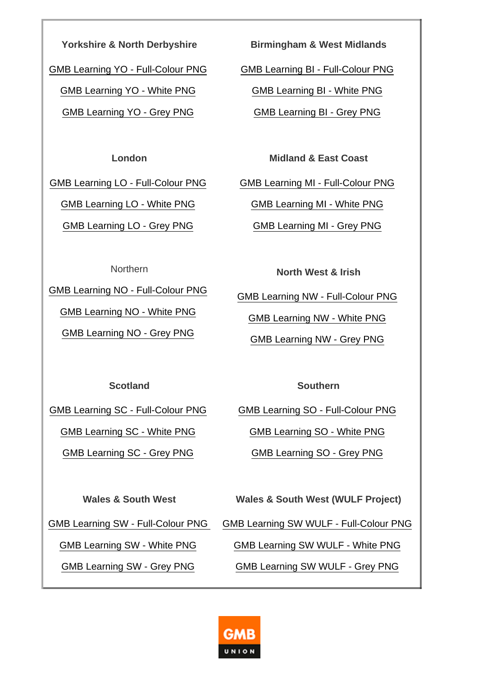Yorkshire & North Derbyshire

[GMB Learning YO - Full-Colour PNG](https://www.gmb.org.uk/sites/default/files/YO_0/GMBLearning2021_YO_Full Colour Regional.png)

[GMB Learning YO - White PNG](https://www.gmb.org.uk/sites/default/files/YO_0/GMBLearning2021_YO_White Regional.png)

[GMB Learning YO - Grey PNG](https://www.gmb.org.uk/sites/default/files/YO_0/GMBLearning2021_YO_Grey Regional.png)

Birmingham & West Midlands

[GMB Learning BI - Full-Colour PNG](https://www.gmb.org.uk/sites/default/files/BI/GMBLearning2021_BI_Full Colour Regional.png)

[GMB Learning BI - White PNG](https://www.gmb.org.uk/sites/default/files/BI/GMBLearning2021_BI_White Regional.png)

[GMB Learning BI - Grey PNG](https://www.gmb.org.uk/sites/default/files/BI/GMBLearning2021_BI_Grey Regional.png)

London

[GMB Learning LO - Full-Colour PNG](https://www.gmb.org.uk/sites/default/files/LO/GMBLearning2021_LO_Full Colour Regional.png)

[GMB Learning LO - White PNG](https://www.gmb.org.uk/sites/default/files/LO/GMBLearning2021_LO_White Regional.png)

[GMB Learning LO - Grey PNG](https://www.gmb.org.uk/sites/default/files/LO/GMBLearning2021_LO_Grey Regional.png)

Midland & East Coast

[GMB Learning MI - Full-Colour PNG](https://www.gmb.org.uk/sites/default/files/GMBLearning2021_MI_Full Colour Regional.png)

[GMB Learning MI - White PNG](https://www.gmb.org.uk/sites/default/files/GMBLearning2021_MI_White Regional.png)

[GMB Learning MI - Grey PNG](https://www.gmb.org.uk/sites/default/files/GMBLearning2021_MI_Grey Regional.png)

Northern

[GMB Learning NO - Full-Colour PNG](https://www.gmb.org.uk/sites/default/files/NO/GMBLearning2021_NO_Full Colour Regional.png)

[GMB Learning NO - White PNG](https://www.gmb.org.uk/sites/default/files/NO/GMBLearning2021_NO_White Regional.png)

[GMB Learning NO - Grey PNG](https://www.gmb.org.uk/sites/default/files/NO/GMBLearning2021_NO_Grey Regional.png)

North West & Irish

[GMB Learning NW - Full-Colour PNG](https://www.gmb.org.uk/sites/default/files/NW/GMBLearning2021_NW_Full Colour Regional.png)

[GMB Learning NW - White PNG](https://www.gmb.org.uk/sites/default/files/NW/GMBLearning2021_NW_White Regional.png)

[GMB Learning NW - Grey PNG](https://www.gmb.org.uk/sites/default/files/NW/GMBLearning2021_NW_Grey Regional.png)

**Scotland** 

[GMB Learning SC - Full-Colour PNG](https://www.gmb.org.uk/sites/default/files/SC/GMBLearning2021_SC_Full Colour Regional.png)

[GMB Learning SC - White PNG](https://www.gmb.org.uk/sites/default/files/SC/GMBLearning2021_SC_White Regional.png)

[GMB Learning SC - Grey PNG](https://www.gmb.org.uk/sites/default/files/SC/GMBLearning2021_SC_Grey Regional.png)

**Southern** 

[GMB Learning SO - Full-Colour PNG](https://www.gmb.org.uk/sites/default/files/SO/GMBLearning2021_SO_Full Colour Regional.png)

[GMB Learning SO - White PNG](https://www.gmb.org.uk/sites/default/files/SO/GMBLearning2021_SO_White Regional.png)

[GMB Learning SO - Grey PNG](https://www.gmb.org.uk/sites/default/files/SO/GMBLearning2021_SO_Grey Regional.png)

Wales & South West

[GMB Learning SW - White PNG](https://www.gmb.org.uk/sites/default/files/SW/GMBLearning2021_SW_White Regional.png)

[GMB Learning SW - Grey PNG](https://www.gmb.org.uk/sites/default/files/SW/GMBLearning2021_SW_Grey Regional.png)

Wales & South West (WULF Project)

[GMB Learning SW - Full-Colour PNG](https://www.gmb.org.uk/sites/default/files/GMBLearning2021_LO_Full Colour Regional.png) [GMB Learning SW WULF - Full-Colour PNG](https://www.gmb.org.uk/sites/default/files/SW/GMBLearning2021_Full Colour WULF.png)

[GMB Learning SW WULF - White PNG](https://www.gmb.org.uk/sites/default/files/SW/GMBLearning2021_White WULF.png)

[GMB Learning SW WULF - Grey PNG](https://www.gmb.org.uk/sites/default/files/SW/GMBLearning2021_Grey WULF.png)